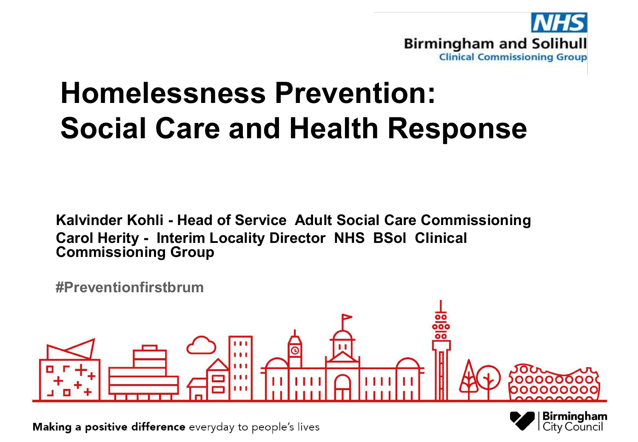

# **Homelessness Prevention: Social Care and Health Response**

**Kalvinder Kohli - Head of Service Adult Social Care Commissioning Carol Herity - Interim Locality Director NHS BSol Clinical Commissioning Group**

**#Preventionfirstbrum**



Birmingham City Council

Making a positive difference everyday to people's lives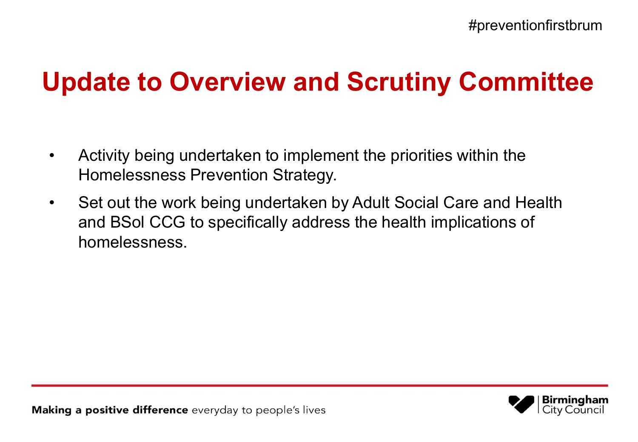## **Update to Overview and Scrutiny Committee**

- Activity being undertaken to implement the priorities within the Homelessness Prevention Strategy.
- Set out the work being undertaken by Adult Social Care and Health and BSol CCG to specifically address the health implications of homelessness.

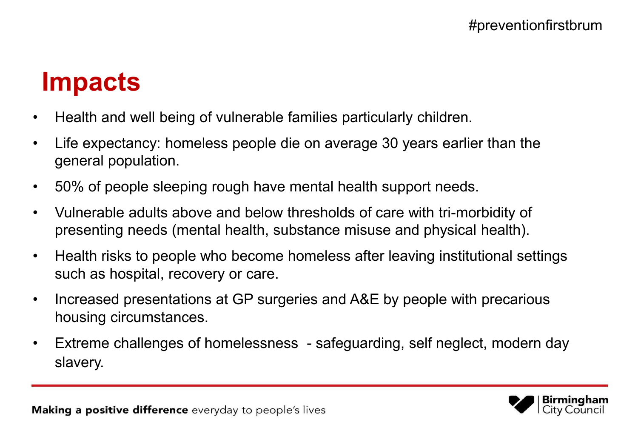## **Impacts**

- Health and well being of vulnerable families particularly children.
- Life expectancy: homeless people die on average 30 years earlier than the general population.
- 50% of people sleeping rough have mental health support needs.
- Vulnerable adults above and below thresholds of care with tri-morbidity of presenting needs (mental health, substance misuse and physical health).
- Health risks to people who become homeless after leaving institutional settings such as hospital, recovery or care.
- Increased presentations at GP surgeries and A&E by people with precarious housing circumstances.
- Extreme challenges of homelessness safeguarding, self neglect, modern day slavery.

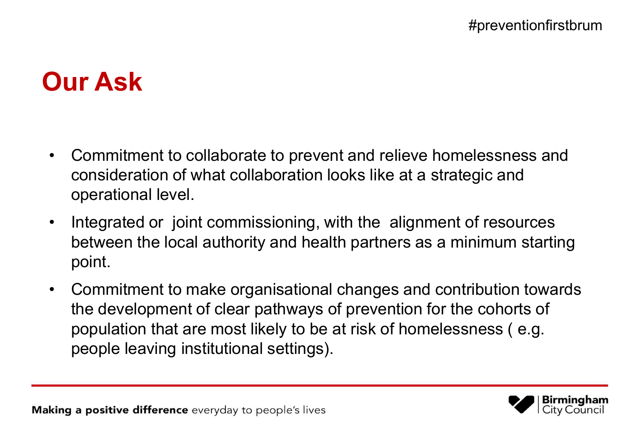## **Our Ask**

- Commitment to collaborate to prevent and relieve homelessness and consideration of what collaboration looks like at a strategic and operational level.
- Integrated or joint commissioning, with the alignment of resources between the local authority and health partners as a minimum starting point.
- Commitment to make organisational changes and contribution towards the development of clear pathways of prevention for the cohorts of population that are most likely to be at risk of homelessness ( e.g. people leaving institutional settings).

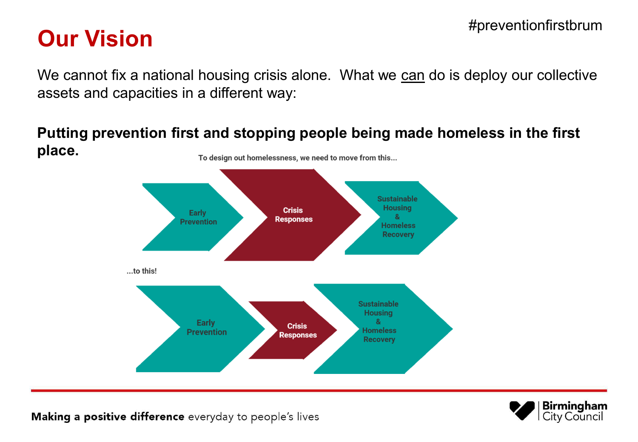# **Our Vision 2008**

We cannot fix a national housing crisis alone. What we can do is deploy our collective assets and capacities in a different way:

**Putting prevention first and stopping people being made homeless in the first place.** To design out homelessness, we need to move from this...





Making a positive difference everyday to people's lives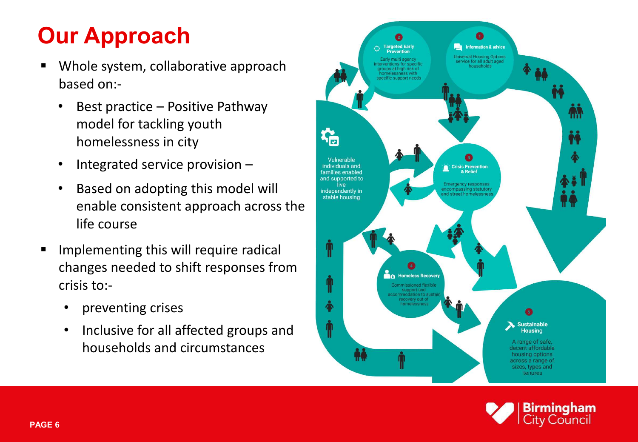## **Our Approach**

- Whole system, collaborative approach based on:-
	- Best practice Positive Pathway model for tackling youth homelessness in city
	- Integrated service provision –
	- Based on adopting this model will enable consistent approach across the life course
- Implementing this will require radical changes needed to shift responses from crisis to:-
	- preventing crises
	- Inclusive for all affected groups and households and circumstances



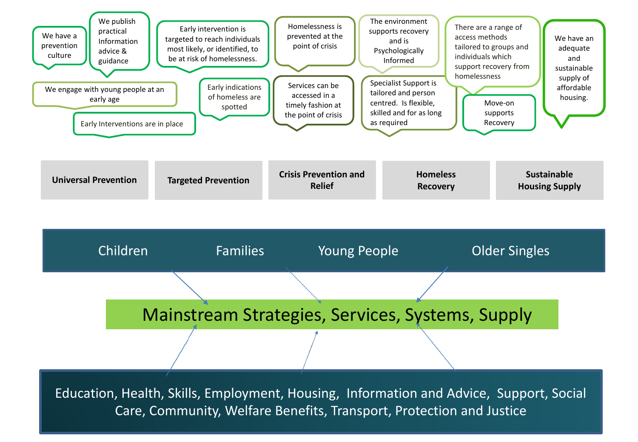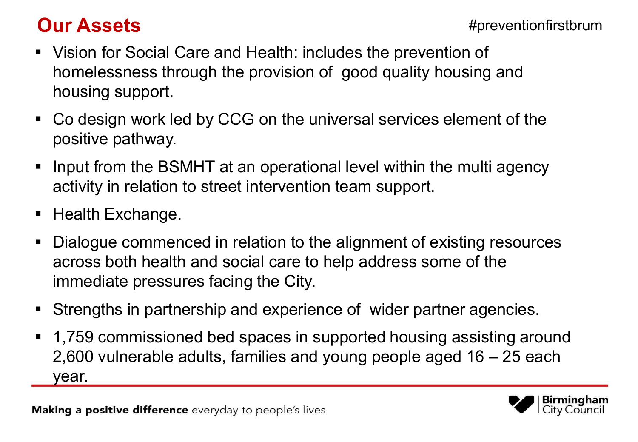### **Our Assets**

Birminal

v Council

- Vision for Social Care and Health: includes the prevention of homelessness through the provision of good quality housing and housing support.
- Co design work led by CCG on the universal services element of the positive pathway.
- Input from the BSMHT at an operational level within the multi agency activity in relation to street intervention team support.
- $\blacksquare$  Health Exchange.
- Dialogue commenced in relation to the alignment of existing resources across both health and social care to help address some of the immediate pressures facing the City.
- Strengths in partnership and experience of wider partner agencies.
- 1,759 commissioned bed spaces in supported housing assisting around 2,600 vulnerable adults, families and young people aged 16 – 25 each year.

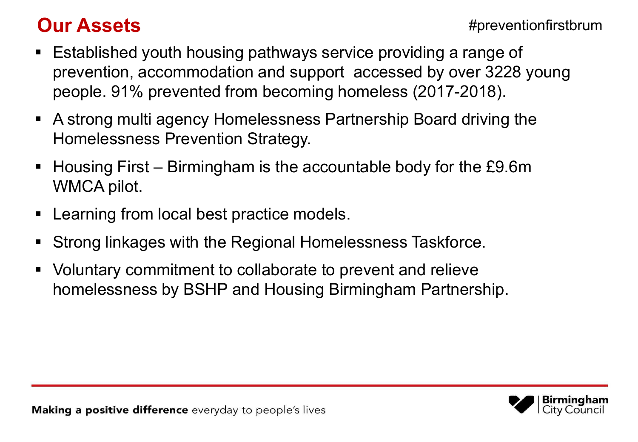### **Our Assets**

- Established youth housing pathways service providing a range of prevention, accommodation and support accessed by over 3228 young people. 91% prevented from becoming homeless (2017-2018).
- A strong multi agency Homelessness Partnership Board driving the Homelessness Prevention Strategy.
- Housing First Birmingham is the accountable body for the £9.6m WMCA pilot.
- **EXA** Learning from local best practice models.
- Strong linkages with the Regional Homelessness Taskforce.
- Voluntary commitment to collaborate to prevent and relieve homelessness by BSHP and Housing Birmingham Partnership.

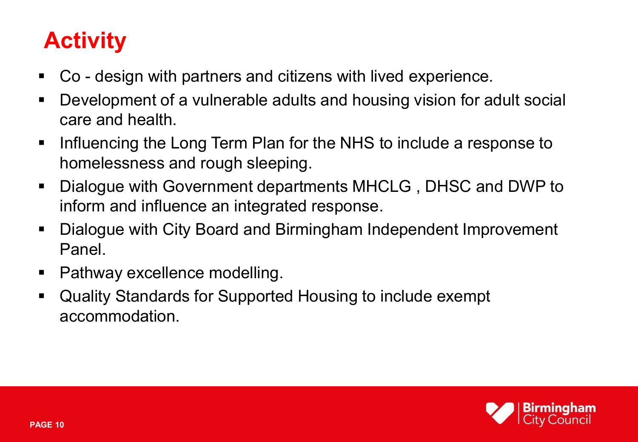## **Activity**

- Co design with partners and citizens with lived experience.
- Development of a vulnerable adults and housing vision for adult social care and health.
- $\blacksquare$  Influencing the Long Term Plan for the NHS to include a response to homelessness and rough sleeping.
- Dialogue with Government departments MHCLG , DHSC and DWP to inform and influence an integrated response.
- Dialogue with City Board and Birmingham Independent Improvement Panel.
- Pathway excellence modelling.
- Quality Standards for Supported Housing to include exempt accommodation.

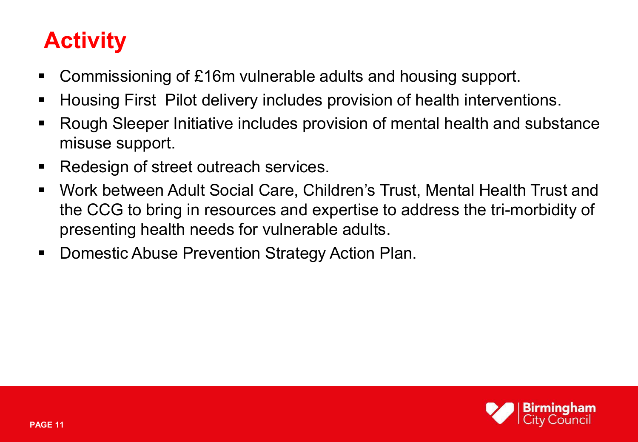## **Activity**

- Commissioning of £16m vulnerable adults and housing support.
- **Housing First Pilot delivery includes provision of health interventions.**
- Rough Sleeper Initiative includes provision of mental health and substance misuse support.
- Redesign of street outreach services.
- Work between Adult Social Care, Children's Trust, Mental Health Trust and the CCG to bring in resources and expertise to address the tri-morbidity of presenting health needs for vulnerable adults.
- Domestic Abuse Prevention Strategy Action Plan.